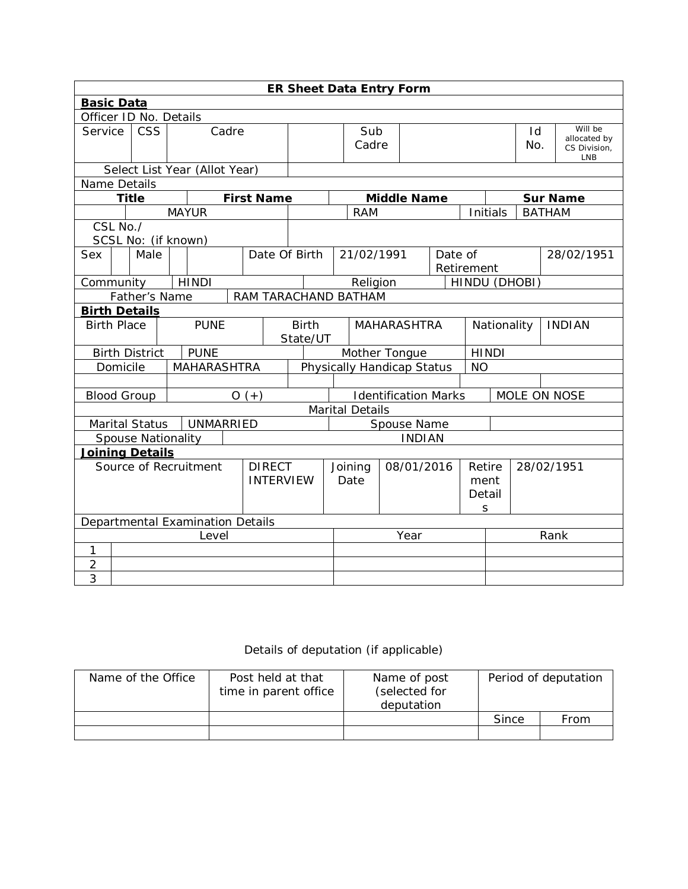|                               | <b>ER Sheet Data Entry Form</b>       |                           |              |                    |                                                |                   |                                         |                                             |                        |             |                    |             |               |                                                       |               |  |                 |
|-------------------------------|---------------------------------------|---------------------------|--------------|--------------------|------------------------------------------------|-------------------|-----------------------------------------|---------------------------------------------|------------------------|-------------|--------------------|-------------|---------------|-------------------------------------------------------|---------------|--|-----------------|
| <b>Basic Data</b>             |                                       |                           |              |                    |                                                |                   |                                         |                                             |                        |             |                    |             |               |                                                       |               |  |                 |
|                               |                                       | Officer ID No. Details    |              |                    |                                                |                   |                                         |                                             |                        |             |                    |             |               |                                                       |               |  |                 |
|                               | Service   CSS<br>Cadre                |                           |              |                    |                                                | Sub<br>Cadre      |                                         |                                             |                        |             |                    | Id<br>No.   |               | Will be<br>allocated by<br>CS Division,<br><b>LNB</b> |               |  |                 |
| Select List Year (Allot Year) |                                       |                           |              |                    |                                                |                   |                                         |                                             |                        |             |                    |             |               |                                                       |               |  |                 |
| Name Details                  |                                       |                           |              |                    |                                                |                   |                                         |                                             |                        |             |                    |             |               |                                                       |               |  |                 |
|                               | <b>Title</b>                          |                           |              |                    |                                                | <b>First Name</b> |                                         |                                             |                        |             | <b>Middle Name</b> |             |               |                                                       |               |  | <b>Sur Name</b> |
|                               |                                       |                           | <b>MAYUR</b> |                    |                                                |                   |                                         |                                             | <b>RAM</b>             |             |                    |             |               | Initials                                              | <b>BATHAM</b> |  |                 |
|                               | CSL No./                              |                           |              |                    |                                                |                   |                                         |                                             |                        |             |                    |             |               |                                                       |               |  |                 |
|                               |                                       | SCSL No: (if known)       |              |                    |                                                |                   |                                         |                                             |                        |             |                    |             |               |                                                       |               |  |                 |
| <b>Sex</b>                    | Date Of Birth<br>Male                 |                           |              |                    |                                                |                   | 21/02/1991<br>Date of<br>Retirement     |                                             |                        |             |                    |             |               |                                                       | 28/02/1951    |  |                 |
| Community                     |                                       |                           |              | <b>HINDI</b>       |                                                |                   |                                         | HINDU (DHOBI)<br>Religion                   |                        |             |                    |             |               |                                                       |               |  |                 |
|                               | Father's Name<br>RAM TARACHAND BATHAM |                           |              |                    |                                                |                   |                                         |                                             |                        |             |                    |             |               |                                                       |               |  |                 |
| <b>Birth Details</b>          |                                       |                           |              |                    |                                                |                   |                                         |                                             |                        |             |                    |             |               |                                                       |               |  |                 |
|                               | <b>PUNE</b><br><b>Birth Place</b>     |                           |              |                    | <b>Birth</b><br><b>MAHARASHTRA</b><br>State/UT |                   |                                         |                                             |                        | Nationality |                    |             | <b>INDIAN</b> |                                                       |               |  |                 |
|                               |                                       | <b>Birth District</b>     |              | <b>PUNE</b>        |                                                |                   | Mother Tongue<br><b>HINDI</b>           |                                             |                        |             |                    |             |               |                                                       |               |  |                 |
|                               | Domicile                              |                           |              | <b>MAHARASHTRA</b> |                                                |                   | Physically Handicap Status<br><b>NO</b> |                                             |                        |             |                    |             |               |                                                       |               |  |                 |
|                               |                                       |                           |              |                    |                                                |                   |                                         |                                             |                        |             |                    |             |               |                                                       |               |  |                 |
| <b>Blood Group</b>            |                                       |                           |              |                    |                                                | $O(+)$            |                                         | <b>Identification Marks</b><br>MOLE ON NOSE |                        |             |                    |             |               |                                                       |               |  |                 |
|                               |                                       |                           |              |                    |                                                |                   |                                         |                                             | <b>Marital Details</b> |             |                    |             |               |                                                       |               |  |                 |
|                               |                                       | Marital Status            |              | UNMARRIED          |                                                |                   |                                         |                                             | Spouse Name            |             |                    |             |               |                                                       |               |  |                 |
|                               |                                       | <b>Spouse Nationality</b> |              |                    |                                                |                   |                                         |                                             | <b>INDIAN</b>          |             |                    |             |               |                                                       |               |  |                 |
|                               |                                       | <b>Joining Details</b>    |              |                    |                                                |                   |                                         |                                             |                        |             |                    |             |               |                                                       |               |  |                 |
|                               |                                       | Source of Recruitment     |              |                    |                                                | <b>DIRECT</b>     |                                         |                                             | Joining                | 08/01/2016  |                    |             | Retire        |                                                       | 28/02/1951    |  |                 |
|                               |                                       |                           |              |                    |                                                | <b>INTERVIEW</b>  |                                         |                                             | Date                   |             |                    | ment        |               |                                                       |               |  |                 |
|                               |                                       |                           |              |                    |                                                |                   |                                         |                                             |                        |             |                    | Detail<br>S |               |                                                       |               |  |                 |
|                               | Departmental Examination Details      |                           |              |                    |                                                |                   |                                         |                                             |                        |             |                    |             |               |                                                       |               |  |                 |
| Level                         |                                       |                           |              |                    |                                                |                   |                                         |                                             | Year                   |             |                    |             | Rank          |                                                       |               |  |                 |
| 1                             |                                       |                           |              |                    |                                                |                   |                                         |                                             |                        |             |                    |             |               |                                                       |               |  |                 |
| $\overline{2}$                |                                       |                           |              |                    |                                                |                   |                                         |                                             |                        |             |                    |             |               |                                                       |               |  |                 |
| 3                             |                                       |                           |              |                    |                                                |                   |                                         |                                             |                        |             |                    |             |               |                                                       |               |  |                 |

## Details of deputation (if applicable)

| Name of the Office | Post held at that<br>time in parent office | Name of post<br>(selected for<br>deputation | Period of deputation |      |  |  |
|--------------------|--------------------------------------------|---------------------------------------------|----------------------|------|--|--|
|                    |                                            |                                             | Since                | From |  |  |
|                    |                                            |                                             |                      |      |  |  |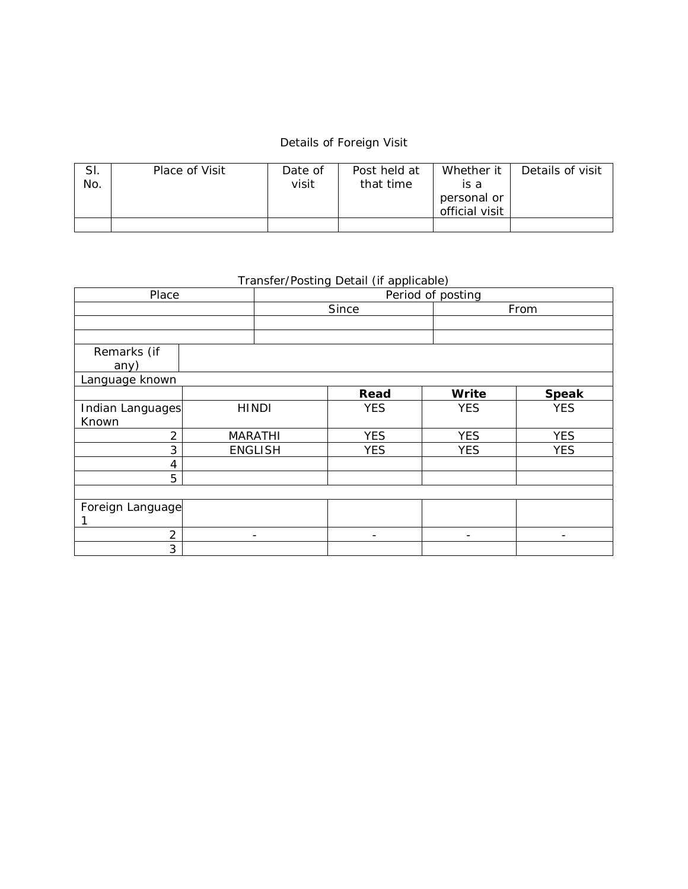## Details of Foreign Visit

| SI.<br>No. | Place of Visit | Date of<br>visit | Post held at<br>that time | Whether it<br>is a<br>personal or<br>official visit | Details of visit |
|------------|----------------|------------------|---------------------------|-----------------------------------------------------|------------------|
|            |                |                  |                           |                                                     |                  |

## Transfer/Posting Detail (if applicable)

| Place            |              |                          | Period of posting |                          |              |  |  |  |  |  |
|------------------|--------------|--------------------------|-------------------|--------------------------|--------------|--|--|--|--|--|
|                  |              |                          | Since             |                          | From         |  |  |  |  |  |
|                  |              |                          |                   |                          |              |  |  |  |  |  |
|                  |              |                          |                   |                          |              |  |  |  |  |  |
| Remarks (if      |              |                          |                   |                          |              |  |  |  |  |  |
| any)             |              |                          |                   |                          |              |  |  |  |  |  |
| Language known   |              |                          |                   |                          |              |  |  |  |  |  |
|                  |              |                          | Read              | Write                    | <b>Speak</b> |  |  |  |  |  |
| Indian Languages | <b>HINDI</b> |                          | <b>YES</b>        | <b>YES</b>               | <b>YES</b>   |  |  |  |  |  |
| Known            |              |                          |                   |                          |              |  |  |  |  |  |
| $\overline{2}$   |              | <b>MARATHI</b>           | <b>YES</b>        | <b>YES</b>               | <b>YES</b>   |  |  |  |  |  |
| 3                |              | <b>ENGLISH</b>           | <b>YES</b>        | <b>YES</b>               | <b>YES</b>   |  |  |  |  |  |
| 4                |              |                          |                   |                          |              |  |  |  |  |  |
| 5                |              |                          |                   |                          |              |  |  |  |  |  |
|                  |              |                          |                   |                          |              |  |  |  |  |  |
| Foreign Language |              |                          |                   |                          |              |  |  |  |  |  |
|                  |              |                          |                   |                          |              |  |  |  |  |  |
| 2                |              | $\overline{\phantom{a}}$ |                   | $\overline{\phantom{a}}$ |              |  |  |  |  |  |
| 3                |              |                          |                   |                          |              |  |  |  |  |  |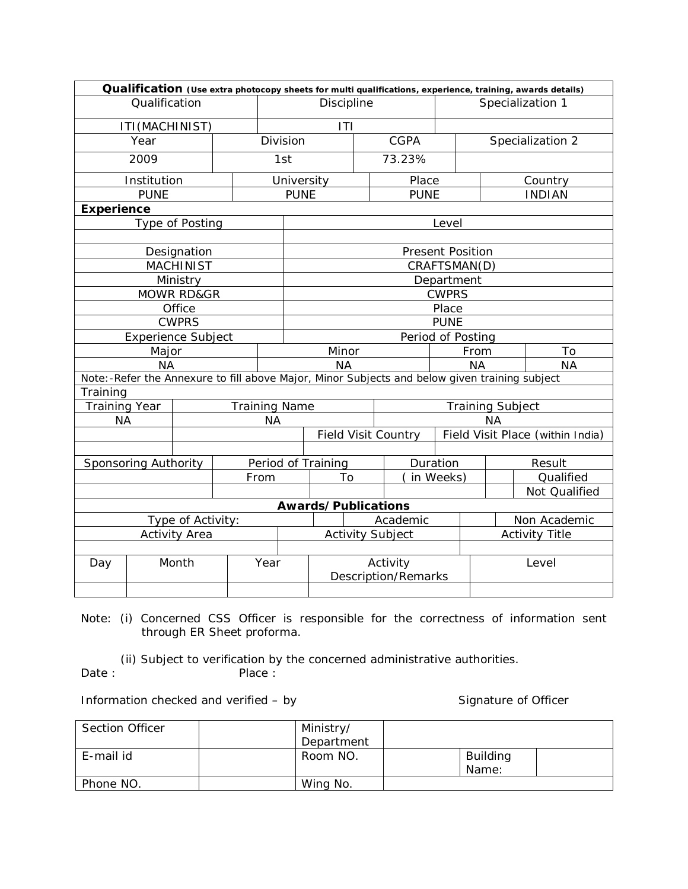|                       |                      |                  |  |      |                         | Qualification (Use extra photocopy sheets for multi qualifications, experience, training, awards details) |  |                                        |             |                         |                  |              |           |                                  |
|-----------------------|----------------------|------------------|--|------|-------------------------|-----------------------------------------------------------------------------------------------------------|--|----------------------------------------|-------------|-------------------------|------------------|--------------|-----------|----------------------------------|
|                       | Qualification        |                  |  |      | Discipline              |                                                                                                           |  |                                        |             |                         | Specialization 1 |              |           |                                  |
|                       | ITI (MACHINIST)      |                  |  |      | ITI                     |                                                                                                           |  |                                        |             |                         |                  |              |           |                                  |
|                       | Year                 |                  |  |      | <b>CGPA</b><br>Division |                                                                                                           |  |                                        |             | Specialization 2        |                  |              |           |                                  |
| 2009                  |                      |                  |  |      | 73.23%<br>1st           |                                                                                                           |  |                                        |             |                         |                  |              |           |                                  |
|                       | Institution          |                  |  |      |                         | Place<br>University<br>Country                                                                            |  |                                        |             |                         |                  |              |           |                                  |
|                       | <b>PUNE</b>          |                  |  |      | <b>PUNE</b>             |                                                                                                           |  |                                        | <b>PUNE</b> |                         |                  |              |           | <b>INDIAN</b>                    |
| <b>Experience</b>     |                      |                  |  |      |                         |                                                                                                           |  |                                        |             |                         |                  |              |           |                                  |
|                       |                      | Type of Posting  |  |      |                         |                                                                                                           |  |                                        |             | Level                   |                  |              |           |                                  |
|                       |                      |                  |  |      |                         |                                                                                                           |  |                                        |             |                         |                  |              |           |                                  |
|                       |                      | Designation      |  |      |                         |                                                                                                           |  |                                        |             | <b>Present Position</b> |                  |              |           |                                  |
|                       |                      | <b>MACHINIST</b> |  |      |                         |                                                                                                           |  |                                        |             | CRAFTSMAN(D)            |                  |              |           |                                  |
|                       |                      | Ministry         |  |      | Department              |                                                                                                           |  |                                        |             |                         |                  |              |           |                                  |
| <b>MOWR RD&amp;GR</b> |                      |                  |  |      |                         | <b>CWPRS</b>                                                                                              |  |                                        |             |                         |                  |              |           |                                  |
| Office                |                      |                  |  |      |                         | Place                                                                                                     |  |                                        |             |                         |                  |              |           |                                  |
| <b>CWPRS</b>          |                      |                  |  |      |                         | <b>PUNE</b>                                                                                               |  |                                        |             |                         |                  |              |           |                                  |
|                       | Experience Subject   |                  |  |      | Period of Posting       |                                                                                                           |  |                                        |             |                         |                  |              |           |                                  |
|                       | Major                |                  |  |      | Minor                   |                                                                                                           |  |                                        |             |                         | From             | To           |           |                                  |
|                       | <b>NA</b>            |                  |  |      | <b>NA</b>               |                                                                                                           |  |                                        |             | <b>NA</b><br><b>NA</b>  |                  |              |           |                                  |
|                       |                      |                  |  |      |                         | Note: -Refer the Annexure to fill above Major, Minor Subjects and below given training subject            |  |                                        |             |                         |                  |              |           |                                  |
| Training              |                      |                  |  |      |                         |                                                                                                           |  |                                        |             |                         |                  |              |           |                                  |
| <b>Training Year</b>  |                      |                  |  |      |                         | <b>Training Name</b><br><b>Training Subject</b>                                                           |  |                                        |             |                         |                  |              |           |                                  |
| <b>NA</b>             |                      |                  |  | NА   |                         |                                                                                                           |  |                                        |             |                         |                  | <b>NA</b>    |           |                                  |
|                       |                      |                  |  |      |                         | <b>Field Visit Country</b>                                                                                |  |                                        |             |                         |                  |              |           | Field Visit Place (within India) |
|                       |                      |                  |  |      |                         |                                                                                                           |  |                                        |             |                         |                  |              |           |                                  |
|                       | Sponsoring Authority |                  |  |      | Period of Training      |                                                                                                           |  |                                        |             | Duration                |                  |              | Result    |                                  |
|                       |                      |                  |  | From |                         | To                                                                                                        |  | in Weeks)                              |             |                         |                  |              | Qualified |                                  |
|                       |                      |                  |  |      |                         |                                                                                                           |  |                                        |             |                         |                  |              |           | Not Qualified                    |
|                       |                      |                  |  |      |                         | Awards/Publications                                                                                       |  |                                        |             |                         |                  |              |           |                                  |
|                       | Type of Activity:    |                  |  |      |                         |                                                                                                           |  | Academic                               |             |                         |                  | Non Academic |           |                                  |
| <b>Activity Area</b>  |                      |                  |  |      | <b>Activity Subject</b> |                                                                                                           |  |                                        |             | <b>Activity Title</b>   |                  |              |           |                                  |
|                       |                      |                  |  |      |                         |                                                                                                           |  |                                        |             |                         |                  |              |           |                                  |
| Day                   |                      | Month            |  | Year |                         |                                                                                                           |  | Activity<br><b>Description/Remarks</b> |             |                         |                  | Level        |           |                                  |
|                       |                      |                  |  |      |                         |                                                                                                           |  |                                        |             |                         |                  |              |           |                                  |

Note: (i) Concerned CSS Officer is responsible for the correctness of information sent through ER Sheet proforma.

 (ii) Subject to verification by the concerned administrative authorities. Date : Place :

Information checked and verified – by Signature of Officer

| <b>Section Officer</b> | Ministry/  |                          |  |
|------------------------|------------|--------------------------|--|
|                        | Department |                          |  |
| E-mail id              | Room NO.   | <b>Building</b><br>Name: |  |
| Phone NO.              | Wing No.   |                          |  |